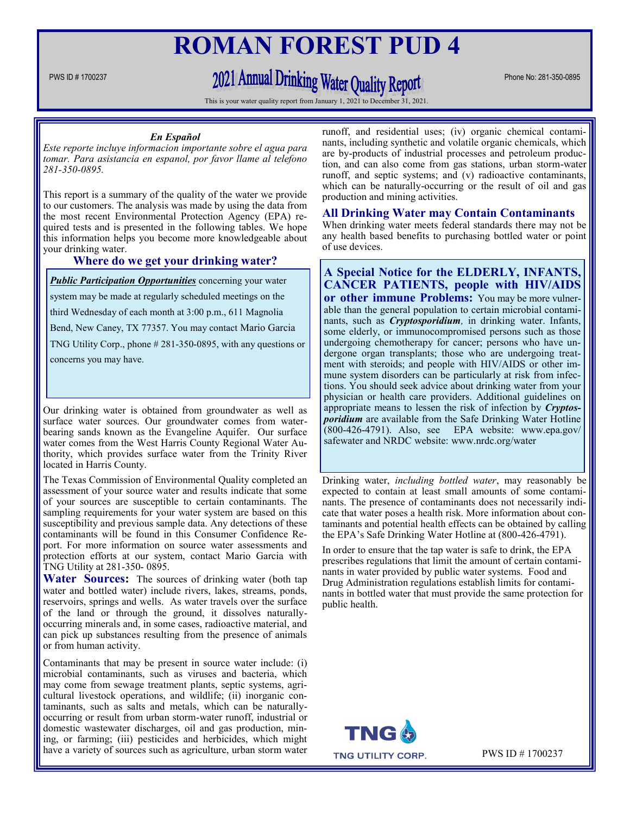## **ROMAN FOREST PUD 4**

# PWS ID # 1700237 Phone No: 281-350-0895

This is your water quality report from January 1, 2021 to December 31, 2021

#### *En Español*

*Este reporte incluye informacion importante sobre el agua para tomar. Para asistancia en espanol, por favor llame al telefono 281-350-0895.*

This report is a summary of the quality of the water we provide to our customers. The analysis was made by using the data from the most recent Environmental Protection Agency (EPA) required tests and is presented in the following tables. We hope this information helps you become more knowledgeable about your drinking water.

#### **Where do we get your drinking water?**

**Public Participation Opportunities** concerning your water system may be made at regularly scheduled meetings on the third Wednesday of each month at 3:00 p.m., 611 Magnolia Bend, New Caney, TX 77357. You may contact Mario Garcia TNG Utility Corp., phone # 281-350-0895, with any questions or concerns you may have.

Our drinking water is obtained from groundwater as well as surface water sources. Our groundwater comes from waterbearing sands known as the Evangeline Aquifer. Our surface water comes from the West Harris County Regional Water Authority, which provides surface water from the Trinity River located in Harris County.

The Texas Commission of Environmental Quality completed an assessment of your source water and results indicate that some of your sources are susceptible to certain contaminants. The sampling requirements for your water system are based on this susceptibility and previous sample data. Any detections of these contaminants will be found in this Consumer Confidence Report. For more information on source water assessments and protection efforts at our system, contact Mario Garcia with TNG Utility at 281-350- 0895.

**Water Sources:** The sources of drinking water (both tap water and bottled water) include rivers, lakes, streams, ponds, reservoirs, springs and wells. As water travels over the surface of the land or through the ground, it dissolves naturallyoccurring minerals and, in some cases, radioactive material, and can pick up substances resulting from the presence of animals or from human activity.

Contaminants that may be present in source water include: (i) microbial contaminants, such as viruses and bacteria, which may come from sewage treatment plants, septic systems, agricultural livestock operations, and wildlife; (ii) inorganic contaminants, such as salts and metals, which can be naturallyoccurring or result from urban storm-water runoff, industrial or domestic wastewater discharges, oil and gas production, mining, or farming; (iii) pesticides and herbicides, which might have a variety of sources such as agriculture, urban storm water

runoff, and residential uses; (iv) organic chemical contaminants, including synthetic and volatile organic chemicals, which are by-products of industrial processes and petroleum production, and can also come from gas stations, urban storm-water runoff, and septic systems; and (v) radioactive contaminants, which can be naturally-occurring or the result of oil and gas production and mining activities.

## **All Drinking Water may Contain Contaminants**

When drinking water meets federal standards there may not be any health based benefits to purchasing bottled water or point of use devices.

## **A Special Notice for the ELDERLY, INFANTS, CANCER PATIENTS, people with HIV/AIDS or other immune Problems:** You may be more vulner-

able than the general population to certain microbial contaminants, such as *Cryptosporidium,* in drinking water. Infants, some elderly, or immunocompromised persons such as those undergoing chemotherapy for cancer; persons who have undergone organ transplants; those who are undergoing treatment with steroids; and people with HIV/AIDS or other immune system disorders can be particularly at risk from infections. You should seek advice about drinking water from your physician or health care providers. Additional guidelines on appropriate means to lessen the risk of infection by *Cryptosporidium* are available from the Safe Drinking Water Hotline (800-426-4791). Also, see EPA website: www.epa.gov/ safewater and NRDC website: www.nrdc.org/water

Drinking water, *including bottled water*, may reasonably be expected to contain at least small amounts of some contaminants. The presence of contaminants does not necessarily indicate that water poses a health risk. More information about contaminants and potential health effects can be obtained by calling the EPA's Safe Drinking Water Hotline at (800-426-4791).

In order to ensure that the tap water is safe to drink, the EPA prescribes regulations that limit the amount of certain contaminants in water provided by public water systems. Food and Drug Administration regulations establish limits for contaminants in bottled water that must provide the same protection for public health.



PWS ID # 1700237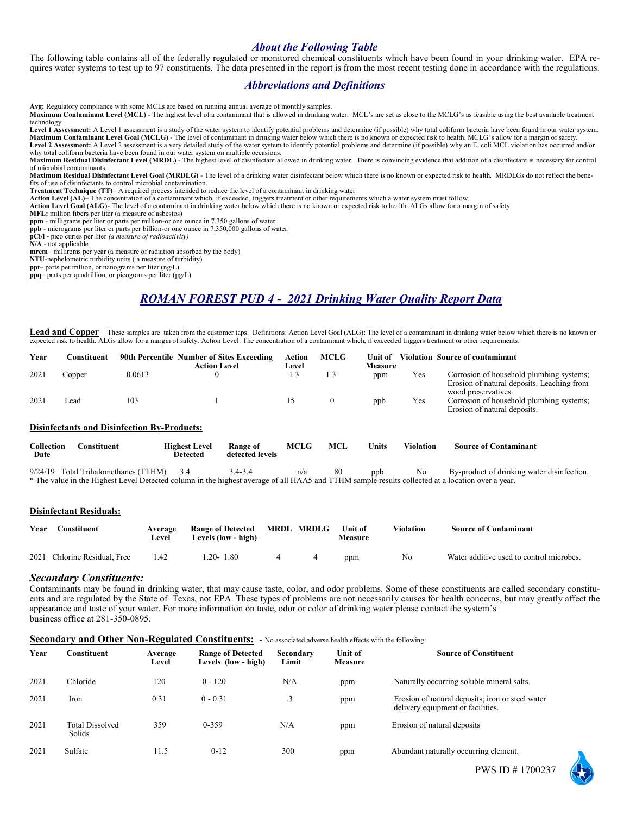## *About the Following Table*

The following table contains all of the federally regulated or monitored chemical constituents which have been found in your drinking water. EPA requires water systems to test up to 97 constituents. The data presented in the report is from the most recent testing done in accordance with the regulations.

## *Abbreviations and Definitions*

**Avg:** Regulatory compliance with some MCLs are based on running annual average of monthly samples.

**Maximum Contaminant Level (MCL)** - The highest level of a contaminant that is allowed in drinking water. MCL's are set as close to the MCLG's as feasible using the best available treatment technology.

Level 1 Assessment: A Level 1 assessment is a study of the water system to identify potential problems and determine (if possible) why total coliform bacteria have been found in our water system. Maximum Contaminant Level Goal (MCLG) - The level of contaminant in drinking water below which there is no known or expected risk to health. MCLG's allow for a margin of safety.<br>Level 2 Assessment: A Level 2 assessment is why total coliform bacteria have been found in our water system on multiple occasions.

Maximum Residual Disinfectant Level (MRDL) - The highest level of disinfectant allowed in drinking water. There is convincing evidence that addition of a disinfectant is necessary for control of microbial contaminants.

**Maximum Residual Disinfectant Level Goal (MRDLG)** - The level of a drinking water disinfectant below which there is no known or expected risk to health. MRDLGs do not reflect the benefits of use of disinfectants to control microbial contamination.

**Treatment Technique (TT)**– A required process intended to reduce the level of a contaminant in drinking water.

**Action Level (AL)**– The concentration of a contaminant which, if exceeded, triggers treatment or other requirements which a water system must follow.

**Action Level Goal (ALG)**- The level of a contaminant in drinking water below which there is no known or expected risk to health. ALGs allow for a margin of safety.

**MFL:** million fibers per liter (a measure of asbestos)

**ppm** - milligrams per liter or parts per million-or one ounce in 7,350 gallons of water.

**ppb** - micrograms per liter or parts per billion-or one ounce in 7,350,000 gallons of water.

**pCi/l -** pico curies per liter *(a measure of radioactivity)*  **N/A** - not applicable

**mrem**– millirems per year (a measure of radiation absorbed by the body)

**NTU**-nephelometric turbidity units ( a measure of turbidity)

**ppt**– parts per trillion, or nanograms per liter (ng/L)

**ppq**– parts per quadrillion, or picograms per liter (pg/L)

## *ROMAN FOREST PUD 4 - 2021 Drinking Water Quality Report Data*

Lead and Copper—These samples are taken from the customer taps. Definitions: Action Level Goal (ALG): The level of a contaminant in drinking water below which there is no known or expected risk to health. ALGs allow for a

| Year | Constituent |                                                    | 90th Percentile Number of Sites Exceeding<br><b>Action Level</b> | Action<br>Level | <b>MCLG</b>  | <b>Unit of</b><br>Measure |     | Violation Source of contaminant                                                                               |
|------|-------------|----------------------------------------------------|------------------------------------------------------------------|-----------------|--------------|---------------------------|-----|---------------------------------------------------------------------------------------------------------------|
| 2021 | Copper      | 0.0613                                             |                                                                  | 1.5             | 1.3          | ppm                       | Yes | Corrosion of household plumbing systems;<br>Erosion of natural deposits. Leaching from<br>wood preservatives. |
| 2021 | ead         | 103                                                |                                                                  |                 | $\mathbf{0}$ | ppb                       | Yes | Corrosion of household plumbing systems;<br>Erosion of natural deposits.                                      |
|      |             | <b>Disinfectants and Disinfection By-Products:</b> |                                                                  |                 |              |                           |     |                                                                                                               |

| Collection<br>Date | Constituent                            | <b>Highest Level</b><br>Detected | Range of<br>detected levels | <b>MCLG</b> | MCL | <b>Inits</b> | Violation | <b>Source of Contaminant</b>              |
|--------------------|----------------------------------------|----------------------------------|-----------------------------|-------------|-----|--------------|-----------|-------------------------------------------|
|                    | $9/24/19$ Total Trihalomethanes (TTHM) |                                  |                             |             |     | nnh          |           | By-product of drinking water disinfection |

9/24/19 Total Trihalomethanes (TTHM) 3.4 3.4-3.4 n/a 80 ppb No By-product of drinking water disinfection. \* The value in the Highest Level Detected column in the highest average of all HAA5 and TTHM sample results collected at a location over a year.

#### **Disinfectant Residuals:**

| Year | Constituent                  | Average<br>Level | Range of Detected MRDL MRDLG<br>Levels (low - high) |  | Unit of<br>Measure | <b>Violation</b> | <b>Source of Contaminant</b>             |
|------|------------------------------|------------------|-----------------------------------------------------|--|--------------------|------------------|------------------------------------------|
|      | 2021 Chlorine Residual, Free | 1.42             | $1.20 - 1.80$                                       |  | ppm                | No               | Water additive used to control microbes. |

#### *Secondary Constituents:*

Contaminants may be found in drinking water, that may cause taste, color, and odor problems. Some of these constituents are called secondary constituents and are regulated by the State of Texas, not EPA. These types of problems are not necessarily causes for health concerns, but may greatly affect the appearance and taste of your water. For more information on taste, odor or color of drinking water please contact the system's business office at 281-350-0895.

|  |  | Secondary and Other Non-Regulated Constituents: - No associated adverse health effects with the following: |  |
|--|--|------------------------------------------------------------------------------------------------------------|--|
|  |  |                                                                                                            |  |

| Year | Constituent                      | Average<br>Level | <b>Range of Detected</b><br>Levels (low - high) | Secondary<br>Limit | Unit of<br><b>Measure</b> | <b>Source of Constituent</b>                                                          |
|------|----------------------------------|------------------|-------------------------------------------------|--------------------|---------------------------|---------------------------------------------------------------------------------------|
| 2021 | Chloride                         | 120              | $0 - 120$                                       | N/A                | ppm                       | Naturally occurring soluble mineral salts.                                            |
| 2021 | Iron                             | 0.31             | $0 - 0.31$                                      | $\cdot$ 3          | ppm                       | Erosion of natural deposits; iron or steel water<br>delivery equipment or facilities. |
| 2021 | <b>Total Dissolved</b><br>Solids | 359              | $0 - 359$                                       | N/A                | ppm                       | Erosion of natural deposits                                                           |
| 2021 | Sulfate                          | 11.5             | $0 - 12$                                        | 300                | ppm                       | Abundant naturally occurring element.                                                 |

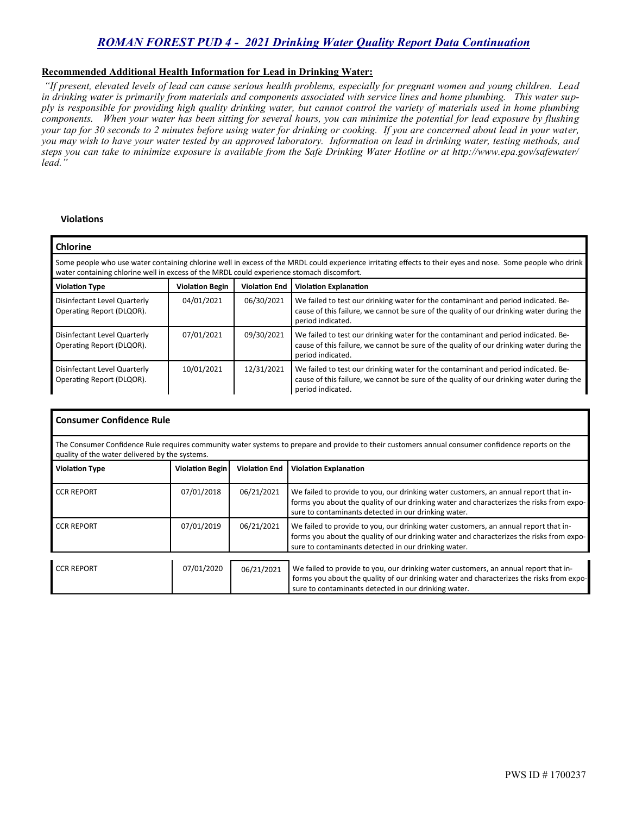## *ROMAN FOREST PUD 4 - 2021 Drinking Water Quality Report Data Continuation*

### **Recommended Additional Health Information for Lead in Drinking Water:**

*"If present, elevated levels of lead can cause serious health problems, especially for pregnant women and young children. Lead in drinking water is primarily from materials and components associated with service lines and home plumbing. This water supply is responsible for providing high quality drinking water, but cannot control the variety of materials used in home plumbing components. When your water has been sitting for several hours, you can minimize the potential for lead exposure by flushing your tap for 30 seconds to 2 minutes before using water for drinking or cooking. If you are concerned about lead in your water, you may wish to have your water tested by an approved laboratory. Information on lead in drinking water, testing methods, and steps you can take to minimize exposure is available from the Safe Drinking Water Hotline or at http://www.epa.gov/safewater/ lead."*

#### **Violations**

| <b>Chlorine</b>                                                                                                                                                                                                                                         |            |            |                                                                                                                                                                                                     |  |  |  |  |  |  |
|---------------------------------------------------------------------------------------------------------------------------------------------------------------------------------------------------------------------------------------------------------|------------|------------|-----------------------------------------------------------------------------------------------------------------------------------------------------------------------------------------------------|--|--|--|--|--|--|
| Some people who use water containing chlorine well in excess of the MRDL could experience irritating effects to their eyes and nose. Some people who drink<br>water containing chlorine well in excess of the MRDL could experience stomach discomfort. |            |            |                                                                                                                                                                                                     |  |  |  |  |  |  |
| <b>Violation End</b><br><b>Violation Type</b><br><b>Violation Begin</b><br><b>Violation Explanation</b>                                                                                                                                                 |            |            |                                                                                                                                                                                                     |  |  |  |  |  |  |
| Disinfectant Level Quarterly<br>Operating Report (DLQOR).                                                                                                                                                                                               | 04/01/2021 | 06/30/2021 | We failed to test our drinking water for the contaminant and period indicated. Be-<br>cause of this failure, we cannot be sure of the quality of our drinking water during the<br>period indicated. |  |  |  |  |  |  |
| Disinfectant Level Quarterly<br>Operating Report (DLQOR).                                                                                                                                                                                               | 07/01/2021 | 09/30/2021 | We failed to test our drinking water for the contaminant and period indicated. Be-<br>cause of this failure, we cannot be sure of the quality of our drinking water during the<br>period indicated. |  |  |  |  |  |  |
| Disinfectant Level Quarterly<br>Operating Report (DLQOR).                                                                                                                                                                                               | 10/01/2021 | 12/31/2021 | We failed to test our drinking water for the contaminant and period indicated. Be-<br>cause of this failure, we cannot be sure of the quality of our drinking water during the<br>period indicated. |  |  |  |  |  |  |

|                                                                                                                                                                                                     | Consumer Confidence Rule |                      |                                                                                                                                                                                                                                          |  |  |  |  |  |  |
|-----------------------------------------------------------------------------------------------------------------------------------------------------------------------------------------------------|--------------------------|----------------------|------------------------------------------------------------------------------------------------------------------------------------------------------------------------------------------------------------------------------------------|--|--|--|--|--|--|
| The Consumer Confidence Rule requires community water systems to prepare and provide to their customers annual consumer confidence reports on the<br>quality of the water delivered by the systems. |                          |                      |                                                                                                                                                                                                                                          |  |  |  |  |  |  |
| <b>Violation Type</b>                                                                                                                                                                               | <b>Violation Begin</b>   | <b>Violation End</b> | <b>Violation Explanation</b>                                                                                                                                                                                                             |  |  |  |  |  |  |
| <b>CCR REPORT</b>                                                                                                                                                                                   | 07/01/2018               | 06/21/2021           | We failed to provide to you, our drinking water customers, an annual report that in-<br>forms you about the quality of our drinking water and characterizes the risks from expo-<br>sure to contaminants detected in our drinking water. |  |  |  |  |  |  |
| <b>CCR REPORT</b>                                                                                                                                                                                   | 07/01/2019               | 06/21/2021           | We failed to provide to you, our drinking water customers, an annual report that in-<br>forms you about the quality of our drinking water and characterizes the risks from expo-<br>sure to contaminants detected in our drinking water. |  |  |  |  |  |  |
| <b>CCR REPORT</b>                                                                                                                                                                                   | 07/01/2020               | 06/21/2021           | We failed to provide to you, our drinking water customers, an annual report that in-                                                                                                                                                     |  |  |  |  |  |  |
|                                                                                                                                                                                                     |                          |                      | forms you about the quality of our drinking water and characterizes the risks from expo-<br>sure to contaminants detected in our drinking water.                                                                                         |  |  |  |  |  |  |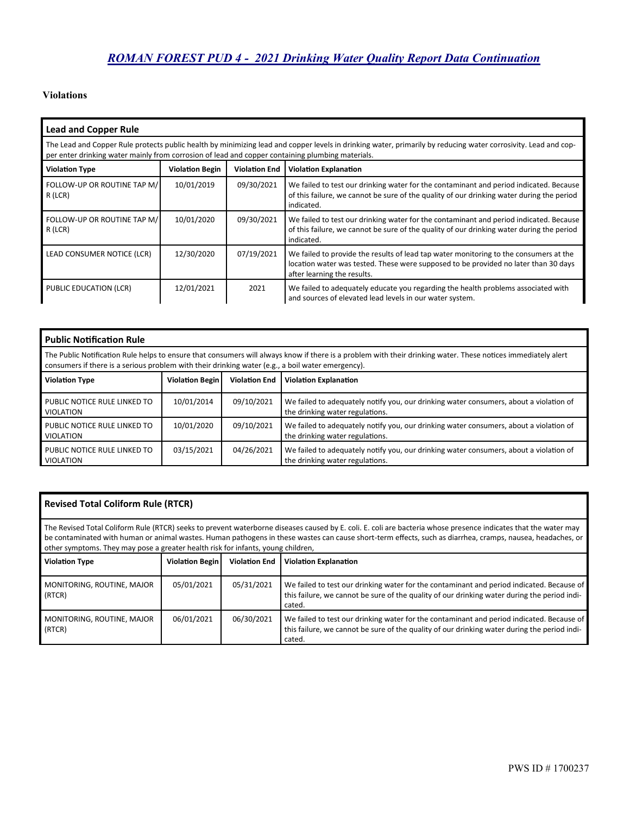## **Violations**

| <b>Lead and Copper Rule</b>                                                                                                                                                                                                                                        |            |            |                                                                                                                                                                                                             |  |  |  |  |  |
|--------------------------------------------------------------------------------------------------------------------------------------------------------------------------------------------------------------------------------------------------------------------|------------|------------|-------------------------------------------------------------------------------------------------------------------------------------------------------------------------------------------------------------|--|--|--|--|--|
| The Lead and Copper Rule protects public health by minimizing lead and copper levels in drinking water, primarily by reducing water corrosivity. Lead and cop-<br>per enter drinking water mainly from corrosion of lead and copper containing plumbing materials. |            |            |                                                                                                                                                                                                             |  |  |  |  |  |
| <b>Violation Type</b><br><b>Violation Begin</b><br><b>Violation End</b><br><b>Violation Explanation</b>                                                                                                                                                            |            |            |                                                                                                                                                                                                             |  |  |  |  |  |
| FOLLOW-UP OR ROUTINE TAP M/<br>R (LCR)                                                                                                                                                                                                                             | 10/01/2019 | 09/30/2021 | We failed to test our drinking water for the contaminant and period indicated. Because<br>of this failure, we cannot be sure of the quality of our drinking water during the period<br>indicated.           |  |  |  |  |  |
| FOLLOW-UP OR ROUTINE TAP M/<br>R (LCR)                                                                                                                                                                                                                             | 10/01/2020 | 09/30/2021 | We failed to test our drinking water for the contaminant and period indicated. Because<br>of this failure, we cannot be sure of the quality of our drinking water during the period<br>indicated.           |  |  |  |  |  |
| LEAD CONSUMER NOTICE (LCR)                                                                                                                                                                                                                                         | 12/30/2020 | 07/19/2021 | We failed to provide the results of lead tap water monitoring to the consumers at the<br>location water was tested. These were supposed to be provided no later than 30 days<br>after learning the results. |  |  |  |  |  |
| PUBLIC EDUCATION (LCR)                                                                                                                                                                                                                                             | 12/01/2021 | 2021       | We failed to adequately educate you regarding the health problems associated with<br>and sources of elevated lead levels in our water system.                                                               |  |  |  |  |  |

| <b>Public Notification Rule</b>                                                                                                                                                                                                                                    |            |            |                                                                                                                           |  |  |  |  |  |  |
|--------------------------------------------------------------------------------------------------------------------------------------------------------------------------------------------------------------------------------------------------------------------|------------|------------|---------------------------------------------------------------------------------------------------------------------------|--|--|--|--|--|--|
| The Public Notification Rule helps to ensure that consumers will always know if there is a problem with their drinking water. These notices immediately alert<br>consumers if there is a serious problem with their drinking water (e.g., a boil water emergency). |            |            |                                                                                                                           |  |  |  |  |  |  |
| <b>Violation Type</b><br><b>Violation Begin</b><br><b>Violation End</b><br><b>Violation Explanation</b>                                                                                                                                                            |            |            |                                                                                                                           |  |  |  |  |  |  |
| PUBLIC NOTICE RULE LINKED TO<br><b>VIOLATION</b>                                                                                                                                                                                                                   | 10/01/2014 | 09/10/2021 | We failed to adequately notify you, our drinking water consumers, about a violation of<br>the drinking water regulations. |  |  |  |  |  |  |
| PUBLIC NOTICE RULE LINKED TO<br><b>VIOLATION</b>                                                                                                                                                                                                                   | 10/01/2020 | 09/10/2021 | We failed to adequately notify you, our drinking water consumers, about a violation of<br>the drinking water regulations. |  |  |  |  |  |  |
| PUBLIC NOTICE RULE LINKED TO<br><b>VIOLATION</b>                                                                                                                                                                                                                   | 03/15/2021 | 04/26/2021 | We failed to adequately notify you, our drinking water consumers, about a violation of<br>the drinking water regulations. |  |  |  |  |  |  |

| <b>Revised Total Coliform Rule (RTCR)</b>                                                                                                                                                                                                                                                                                                                                                                         |                        |                      |                                                                                                                                                                                                     |  |  |  |  |  |  |
|-------------------------------------------------------------------------------------------------------------------------------------------------------------------------------------------------------------------------------------------------------------------------------------------------------------------------------------------------------------------------------------------------------------------|------------------------|----------------------|-----------------------------------------------------------------------------------------------------------------------------------------------------------------------------------------------------|--|--|--|--|--|--|
| The Revised Total Coliform Rule (RTCR) seeks to prevent waterborne diseases caused by E. coli. E. coli are bacteria whose presence indicates that the water may<br>be contaminated with human or animal wastes. Human pathogens in these wastes can cause short-term effects, such as diarrhea, cramps, nausea, headaches, or<br>other symptoms. They may pose a greater health risk for infants, young children, |                        |                      |                                                                                                                                                                                                     |  |  |  |  |  |  |
| <b>Violation Type</b>                                                                                                                                                                                                                                                                                                                                                                                             | <b>Violation Begin</b> | <b>Violation End</b> | <b>Violation Explanation</b>                                                                                                                                                                        |  |  |  |  |  |  |
| MONITORING, ROUTINE, MAJOR<br>(RTCR)                                                                                                                                                                                                                                                                                                                                                                              | 05/01/2021             | 05/31/2021           | We failed to test our drinking water for the contaminant and period indicated. Because of<br>this failure, we cannot be sure of the quality of our drinking water during the period indi-<br>cated. |  |  |  |  |  |  |
| 06/01/2021<br>06/30/2021<br>We failed to test our drinking water for the contaminant and period indicated. Because of<br>MONITORING, ROUTINE, MAJOR<br>this failure, we cannot be sure of the quality of our drinking water during the period indi-<br>(RTCR)<br>cated.                                                                                                                                           |                        |                      |                                                                                                                                                                                                     |  |  |  |  |  |  |